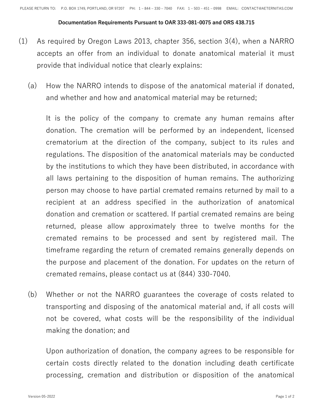## **Documentation Requirements Pursuant to OAR 333-081-0075 and ORS 438.715**

- (1) As required by Oregon Laws 2013, chapter 356, section 3(4), when a NARRO accepts an offer from an individual to donate anatomical material it must provide that individual notice that clearly explains:
	- (a) How the NARRO intends to dispose of the anatomical material if donated, and whether and how and anatomical material may be returned;

It is the policy of the company to cremate any human remains after donation. The cremation will be performed by an independent, licensed crematorium at the direction of the company, subject to its rules and regulations. The disposition of the anatomical materials may be conducted by the institutions to which they have been distributed, in accordance with all laws pertaining to the disposition of human remains. The authorizing person may choose to have partial cremated remains returned by mail to a recipient at an address specified in the authorization of anatomical donation and cremation or scattered. If partial cremated remains are being returned, please allow approximately three to twelve months for the cremated remains to be processed and sent by registered mail. The timeframe regarding the return of cremated remains generally depends on the purpose and placement of the donation. For updates on the return of cremated remains, please contact us at (844) 330-7040.

(b) Whether or not the NARRO guarantees the coverage of costs related to transporting and disposing of the anatomical material and, if all costs will not be covered, what costs will be the responsibility of the individual making the donation; and

Upon authorization of donation, the company agrees to be responsible for certain costs directly related to the donation including death certificate processing, cremation and distribution or disposition of the anatomical